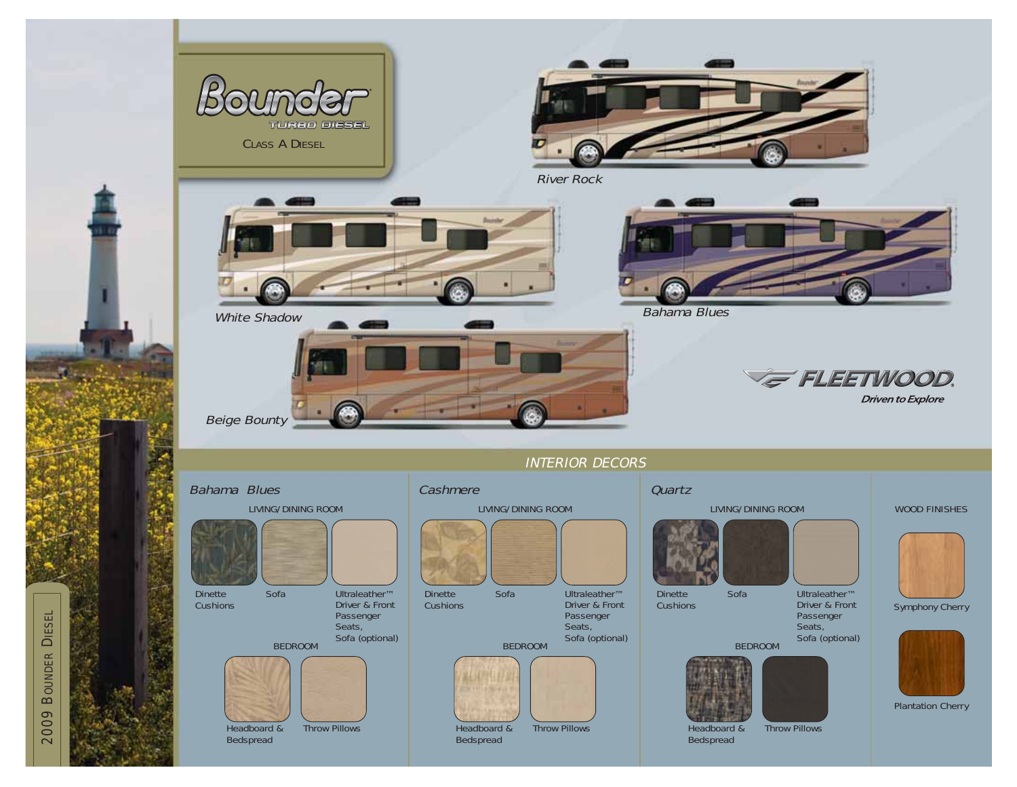

2009 BOUNDER 2009 BOUNDER DIESEL

æ.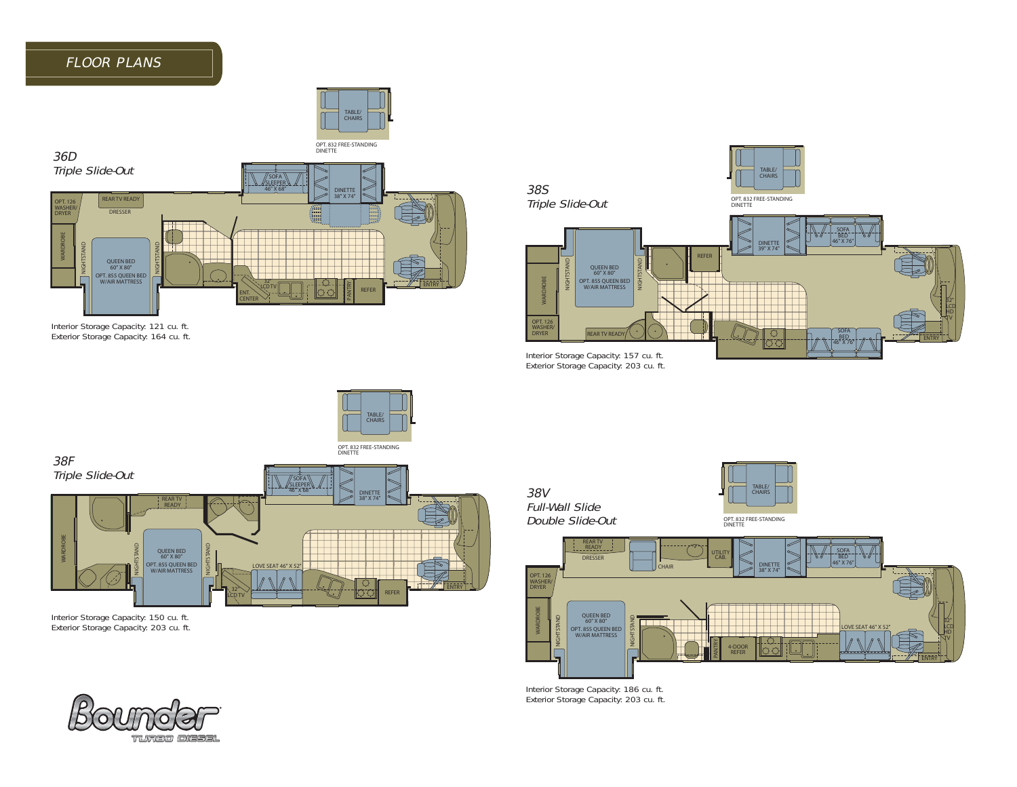# FLOOR PLANS





Interior Storage Capacity: 121 cu. ft. Exterior Storage Capacity: 164 cu. ft.



menor Storage Capacity: 157 cu. ft.<br>Exterior Storage Capacity: 203 cu. ft.



Interior Storage Capacity: 150 cu. ft. Exterior Storage Capacity: 203 cu. ft.



38V Full-Wall Slide Double Slide-Out





Interior Storage Capacity: 186 cu. ft. Exterior Storage Capacity: 203 cu. ft.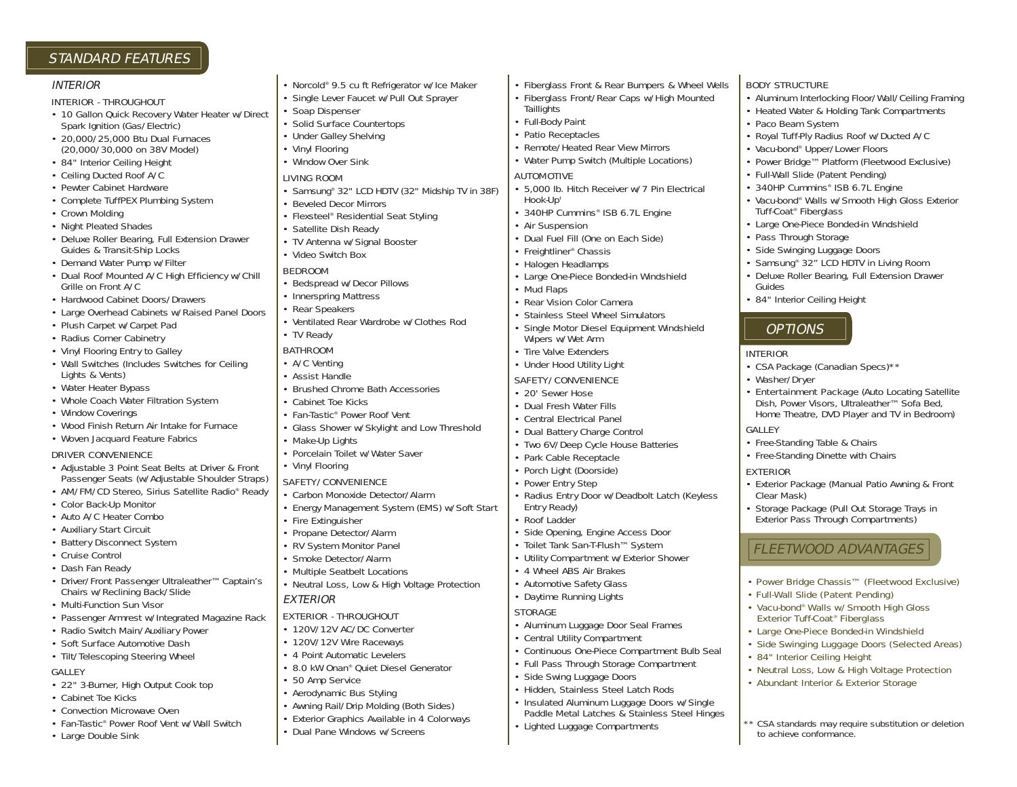## STANDARD FEATURES

#### INTERIOR

#### INTERIOR - THROUGHOUT

- 10 Gallon Quick Recovery Water Heater w/Direct Spark Ignition (Gas/Electric)
- 20,000/25,000 Btu Dual Furnaces (20,000/30,000 on 38V Model)
- 84" Interior Ceiling Height
- Ceiling Ducted Roof A/C
- Pewter Cabinet Hardware
- Complete TuffPEX Plumbing System
- Crown Molding
- Night Pleated Shades
- Deluxe Roller Bearing, Full Extension Drawer Guides & Transit-Ship Locks
- Demand Water Pump w/Filter
- Dual Roof Mounted A/C High Efficiency w/Chill Grille on Front A/C
- Hardwood Cabinet Doors/Drawers
- Large Overhead Cabinets w/Raised Panel Doors
- Plush Carpet w/Carpet Pad
- Radius Corner Cabinetry
- Vinyl Flooring Entry to Galley
- Wall Switches (Includes Switches for Ceiling Lights & Vents)
- Water Heater Bypass
- Whole Coach Water Filtration System
- Window Coverings
- Wood Finish Return Air Intake for Furnace

## • Woven Jacquard Feature Fabrics

- DRIVER CONVENIENCE
- Adjustable 3 Point Seat Belts at Driver & Front Passenger Seats (w/Adjustable Shoulder Straps)
- AM/FM/CD Stereo, Sirius Satellite Radio® Ready
- Color Back-Up Monitor
- Auto A/C Heater Combo
- Auxiliary Start Circuit
- Battery Disconnect System
- Cruise Control
- Dash Fan Ready
- Driver/Front Passenger Ultraleather™ Captain's Chairs w/Reclining Back/Slide
- Multi-Function Sun Visor
- Passenger Armrest w/Integrated Magazine Rack
- Radio Switch Main/Auxiliary Power
- Soft Surface Automotive Dash
- Tilt/Telescoping Steering Wheel

#### **GALLEY**

- 22" 3-Burner, High Output Cook top
- Cabinet Toe Kicks
- Convection Microwave Oven
- Fan-Tastic® Power Roof Vent w/Wall Switch
- Large Double Sink
- Norcold® 9.5 cu ft Refrigerator w/Ice Maker • Single Lever Faucet w/Pull Out Sprayer • Soap Dispenser • Solid Surface Countertops • Under Galley Shelving • Vinyl Flooring • Window Over Sink LIVING ROOM • Samsung® 32" LCD HDTV (32" Midship TV in 38F) • Beveled Decor Mirrors • Flexsteel® Residential Seat Styling • Satellite Dish Ready • TV Antenna w/Signal Booster • Video Switch Box **BEDROOM** • Bedspread w/Decor Pillows • Innerspring Mattress • Rear Speakers • Ventilated Rear Wardrobe w/Clothes Rod • TV Ready BATHROOM • A/C Venting • Assist Handle • Brushed Chrome Bath Accessories • Cabinet Toe Kicks • Fan-Tastic® Power Roof Vent • Glass Shower w/Skylight and Low Threshold • Make-Up Lights • Porcelain Toilet w/Water Saver • Vinyl Flooring SAFETY/CONVENIENCE • Carbon Monoxide Detector/Alarm • Energy Management System (EMS) w/Soft Start • Fire Extinguisher • Propane Detector/Alarm • RV System Monitor Panel • Smoke Detector/Alarm • Multiple Seatbelt Locations • Neutral Loss, Low & High Voltage Protection EXTERIOR EXTERIOR - THROUGHOUT
- 120V/12V AC/DC Converter
- 120V/12V Wire Raceways
- 4 Point Automatic Levelers
- 8.0 kW Onan® Quiet Diesel Generator
- 50 Amp Service
- Aerodynamic Bus Styling
- Awning Rail/Drip Molding (Both Sides)
- Exterior Graphics Available in 4 Colorways
- Dual Pane Windows w/Screens

• Fiberglass Front & Rear Bumpers & Wheel Wells • Fiberglass Front/Rear Caps w/High Mounted

BODY STRUCTURE

• Paco Beam System

Tuff-Coat® Fiberglass

• Pass Through Storage • Side Swinging Luggage Doors

• 84" Interior Ceiling Height

**OPTIONS** 

• CSA Package (Canadian Specs)\*\*

• Free-Standing Table & Chairs • Free-Standing Dinette with Chairs

• Entertainment Package (Auto Locating Satellite Dish, Power Visors, Ultraleather™ Sofa Bed, Home Theatre, DVD Player and TV in Bedroom)

• Exterior Package (Manual Patio Awning & Front

• Power Bridge Chassis™ (Fleetwood Exclusive)

• Neutral Loss, Low & High Voltage Protection • Abundant Interior & Exterior Storage

\*\* CSA standards may require substitution or deletion

• Full-Wall Slide (Patent Pending) • Vacu-bond® Walls w/Smooth High Gloss Exterior Tuff-Coat® Fiberglass • Large One-Piece Bonded-in Windshield • Side Swinging Luggage Doors (Selected Areas)

• 84" Interior Ceiling Height

to achieve conformance.

• Storage Package (Pull Out Storage Trays in Exterior Pass Through Compartments)

FLEETWOOD ADVANTAGES

Guides

INTERIOR

GALLEY

EXTERIOR

Clear Mask)

• Washer/Dryer

• Aluminum Interlocking Floor/Wall/Ceiling Framing • Heated Water & Holding Tank Compartments

• Royal Tuff-Ply Radius Roof w/Ducted A/C • Vacu-bond® Upper/Lower Floors

• Large One-Piece Bonded-in Windshield

• Samsung® 32" LCD HDTV in Living Room • Deluxe Roller Bearing, Full Extension Drawer

• Full-Wall Slide (Patent Pending) • 340HP Cummins® ISB 6.7L Engine

• Power Bridge™ Platform (Fleetwood Exclusive)

• Vacu-bond® Walls w/Smooth High Gloss Exterior

- **Taillights**
- Full-Body Paint
- Patio Receptacles
- Remote/Heated Rear View Mirrors
- Water Pump Switch (Multiple Locations)

### AUTOMOTIVE

- 5,000 lb. Hitch Receiver w/7 Pin Electrical Hook-Up†
- 340HP Cummins® ISB 6.7L Engine
- Air Suspension
- Dual Fuel Fill (One on Each Side)
- Freightliner® Chassis
- Halogen Headlamps
- Large One-Piece Bonded-in Windshield
- Mud Flaps
	- Rear Vision Color Camera
	- Stainless Steel Wheel Simulators
	- Single Motor Diesel Equipment Windshield Wipers w/Wet Arm
	- Tire Valve Extenders
	- Under Hood Utility Light

## SAFETY/CONVENIENCE

- 20' Sewer Hose
- Dual Fresh Water Fills
- Central Electrical Panel
- Dual Battery Charge Control
- Two 6V/Deep Cycle House Batteries
- Park Cable Receptacle
- Porch Light (Doorside)
- Power Entry Step
- Radius Entry Door w/Deadbolt Latch (Keyless Entry Ready)
- Roof Ladder
- Side Opening, Engine Access Door
- Toilet Tank San-T-Flush™ System
- Utility Compartment w/Exterior Shower
- 4 Wheel ABS Air Brakes
- Automotive Safety Glass
- Daytime Running Lights

### **STORAGE**

- Aluminum Luggage Door Seal Frames
	- Central Utility Compartment
		- Continuous One-Piece Compartment Bulb Seal

• Insulated Aluminum Luggage Doors w/Single Paddle Metal Latches & Stainless Steel Hinges

- Full Pass Through Storage Compartment
- Side Swing Luggage Doors
- Hidden, Stainless Steel Latch Rods

• Lighted Luggage Compartments